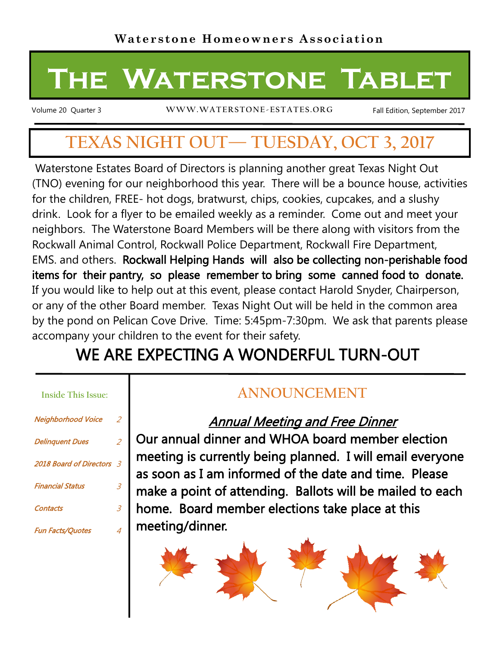# **The Waterstone Tablet**

Volume 20 Quarter 3 **WW W.WAT ERSTONE-ESTATES.ORG**

Fall Edition, September 2017

# **TEXAS NIGHT OUT— TUESDAY, OCT 3, 2017**

Waterstone Estates Board of Directors is planning another great Texas Night Out (TNO) evening for our neighborhood this year. There will be a bounce house, activities for the children, FREE- hot dogs, bratwurst, chips, cookies, cupcakes, and a slushy drink. Look for a flyer to be emailed weekly as a reminder. Come out and meet your neighbors. The Waterstone Board Members will be there along with visitors from the Rockwall Animal Control, Rockwall Police Department, Rockwall Fire Department, EMS. and others. Rockwall Helping Hands will also be collecting non-perishable food items for their pantry, so please remember to bring some canned food to donate. If you would like to help out at this event, please contact Harold Snyder, Chairperson, or any of the other Board member. Texas Night Out will be held in the common area by the pond on Pelican Cove Drive. Time: 5:45pm-7:30pm. We ask that parents please accompany your children to the event for their safety.

# WE ARE EXPECTING A WONDERFUL TURN-OUT

| <b>Inside This Issue:</b> |  |  |
|---------------------------|--|--|
|                           |  |  |

| <b>Neighborhood Voice</b> | 2 |
|---------------------------|---|
| <b>Delinguent Dues</b>    | 2 |
| 2018 Board of Directors 3 |   |
| <b>Financial Status</b>   | 3 |
| <b>Contacts</b>           | 3 |
| <b>Fun Facts/Ouotes</b>   | 4 |

# **ANNOUNCEMENT**

### Annual Meeting and Free Dinner

Our annual dinner and WHOA board member election meeting is currently being planned. I will email everyone as soon as I am informed of the date and time. Please make a point of attending. Ballots will be mailed to each home. Board member elections take place at this meeting/dinner.

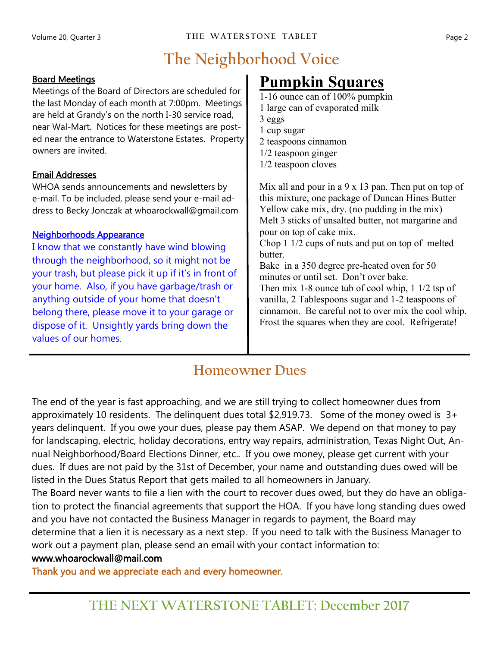# **The Neighborhood Voice**

#### Board Meetings

Meetings of the Board of Directors are scheduled for the last Monday of each month at 7:00pm. Meetings are held at Grandy's on the north I-30 service road, near Wal-Mart. Notices for these meetings are posted near the entrance to Waterstone Estates. Property owners are invited.

#### Email Addresses

WHOA sends announcements and newsletters by e-mail. To be included, please send your e-mail address to Becky Jonczak at whoarockwall@gmail.com

#### Neighborhoods Appearance

I know that we constantly have wind blowing through the neighborhood, so it might not be your trash, but please pick it up if it's in front of your home. Also, if you have garbage/trash or anything outside of your home that doesn't belong there, please move it to your garage or dispose of it. Unsightly yards bring down the values of our homes.

# **Pumpkin Squares**

1-16 ounce can of 100% pumpkin 1 large can of evaporated milk 3 eggs 1 cup sugar 2 teaspoons cinnamon 1/2 teaspoon ginger 1/2 teaspoon cloves

Mix all and pour in a 9 x 13 pan. Then put on top of this mixture, one package of Duncan Hines Butter Yellow cake mix, dry. (no pudding in the mix) Melt 3 sticks of unsalted butter, not margarine and pour on top of cake mix.

Chop 1 1/2 cups of nuts and put on top of melted butter.

Bake in a 350 degree pre-heated oven for 50 minutes or until set. Don't over bake.

Then mix 1-8 ounce tub of cool whip, 1 1/2 tsp of vanilla, 2 Tablespoons sugar and 1-2 teaspoons of cinnamon. Be careful not to over mix the cool whip. Frost the squares when they are cool. Refrigerate!

### **Homeowner Dues**

The end of the year is fast approaching, and we are still trying to collect homeowner dues from approximately 10 residents. The delinquent dues total \$2,919.73. Some of the money owed is 3+ years delinquent. If you owe your dues, please pay them ASAP. We depend on that money to pay for landscaping, electric, holiday decorations, entry way repairs, administration, Texas Night Out, Annual Neighborhood/Board Elections Dinner, etc.. If you owe money, please get current with your dues. If dues are not paid by the 31st of December, your name and outstanding dues owed will be listed in the Dues Status Report that gets mailed to all homeowners in January.

The Board never wants to file a lien with the court to recover dues owed, but they do have an obligation to protect the financial agreements that support the HOA. If you have long standing dues owed and you have not contacted the Business Manager in regards to payment, the Board may determine that a lien it is necessary as a next step. If you need to talk with the Business Manager to work out a payment plan, please send an email with your contact information to:

#### www.whoarockwall@mail.com

Thank you and we appreciate each and every homeowner.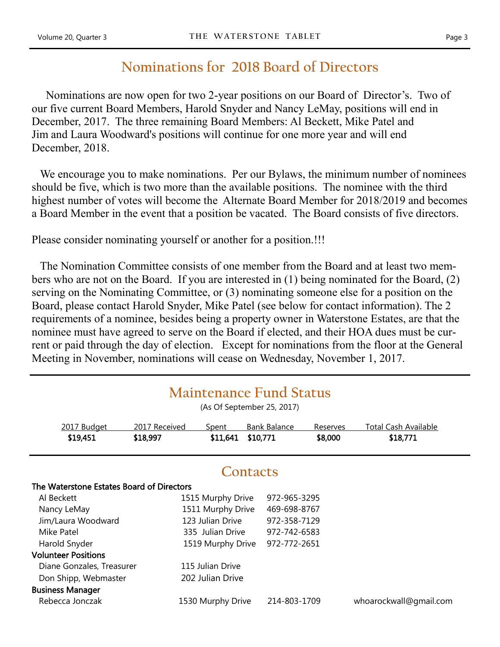### **Nominations for 2018 Board of Directors**

 Nominations are now open for two 2-year positions on our Board of Director's. Two of our five current Board Members, Harold Snyder and Nancy LeMay, positions will end in December, 2017. The three remaining Board Members: Al Beckett, Mike Patel and Jim and Laura Woodward's positions will continue for one more year and will end December, 2018.

We encourage you to make nominations. Per our Bylaws, the minimum number of nominees should be five, which is two more than the available positions. The nominee with the third highest number of votes will become the Alternate Board Member for 2018/2019 and becomes a Board Member in the event that a position be vacated. The Board consists of five directors.

Please consider nominating yourself or another for a position.!!!

 The Nomination Committee consists of one member from the Board and at least two members who are not on the Board. If you are interested in (1) being nominated for the Board, (2) serving on the Nominating Committee, or (3) nominating someone else for a position on the Board, please contact Harold Snyder, Mike Patel (see below for contact information). The 2 requirements of a nominee, besides being a property owner in Waterstone Estates, are that the nominee must have agreed to serve on the Board if elected, and their HOA dues must be current or paid through the day of election. Except for nominations from the floor at the General Meeting in November, nominations will cease on Wednesday, November 1, 2017.

| <b>Maintenance Fund Status</b>            |               |                   |              |              |          |                             |  |  |  |  |
|-------------------------------------------|---------------|-------------------|--------------|--------------|----------|-----------------------------|--|--|--|--|
| (As Of September 25, 2017)                |               |                   |              |              |          |                             |  |  |  |  |
| 2017 Budget                               | 2017 Received | <b>Spent</b>      | Bank Balance |              | Reserves | <b>Total Cash Available</b> |  |  |  |  |
| \$19,451                                  | \$18,997      | \$11,641          | \$10,771     |              | \$8,000  | \$18,771                    |  |  |  |  |
|                                           |               |                   |              |              |          |                             |  |  |  |  |
| Contacts                                  |               |                   |              |              |          |                             |  |  |  |  |
| The Waterstone Estates Board of Directors |               |                   |              |              |          |                             |  |  |  |  |
| Al Beckett                                |               | 1515 Murphy Drive |              | 972-965-3295 |          |                             |  |  |  |  |
| Nancy LeMay                               |               | 1511 Murphy Drive |              | 469-698-8767 |          |                             |  |  |  |  |
| Jim/Laura Woodward                        |               | 123 Julian Drive  |              | 972-358-7129 |          |                             |  |  |  |  |
| Mike Patel                                |               | 335 Julian Drive  |              | 972-742-6583 |          |                             |  |  |  |  |
| Harold Snyder                             |               | 1519 Murphy Drive |              | 972-772-2651 |          |                             |  |  |  |  |
| <b>Volunteer Positions</b>                |               |                   |              |              |          |                             |  |  |  |  |
| Diane Gonzales, Treasurer                 |               | 115 Julian Drive  |              |              |          |                             |  |  |  |  |
| Don Shipp, Webmaster                      |               | 202 Julian Drive  |              |              |          |                             |  |  |  |  |
| <b>Business Manager</b>                   |               |                   |              |              |          |                             |  |  |  |  |
| Rebecca Jonczak                           |               | 1530 Murphy Drive |              | 214-803-1709 |          | whoarockwall@gmail.com      |  |  |  |  |